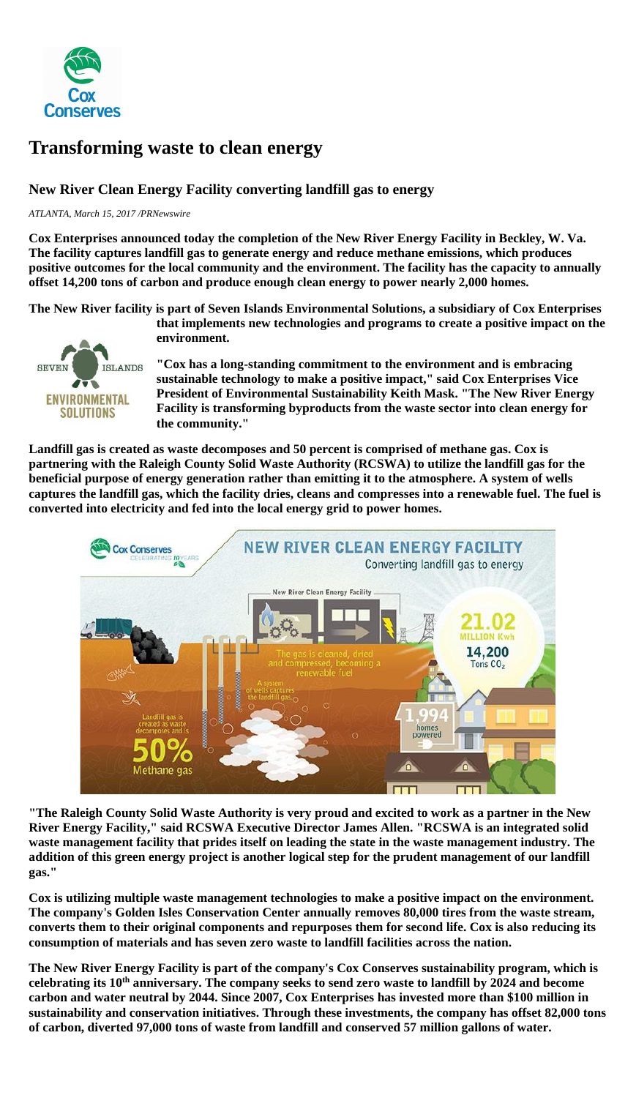

## **Transforming waste to clean energy**

## **New River Clean Energy Facility converting landfill gas to energy**

*ATLANTA, March 15, 2017 /PRNewswire*

**Cox Enterprises announced today the completion of the New River Energy Facility in Beckley, W. Va. The facility captures landfill gas to generate energy and reduce methane emissions, which produces positive outcomes for the local community and the environment. The facility has the capacity to annually offset 14,200 tons of carbon and produce enough clean energy to power nearly 2,000 homes.**

**The New River facility is part of Seven Islands Environmental Solutions, a subsidiary of Cox Enterprises** 



**that implements new technologies and programs to create a positive impact on the environment.**

**"Cox has a long-standing commitment to the environment and is embracing sustainable technology to make a positive impact," said Cox Enterprises Vice President of Environmental Sustainability Keith Mask. "The New River Energy Facility is transforming byproducts from the waste sector into clean energy for the community."**

**Landfill gas is created as waste decomposes and 50 percent is comprised of methane gas. Cox is partnering with the Raleigh County Solid Waste Authority (RCSWA) to utilize the landfill gas for the beneficial purpose of energy generation rather than emitting it to the atmosphere. A system of wells captures the landfill gas, which the facility dries, cleans and compresses into a renewable fuel. The fuel is converted into electricity and fed into the local energy grid to power homes.**



**"The Raleigh County Solid Waste Authority is very proud and excited to work as a partner in the New River Energy Facility," said RCSWA Executive Director James Allen. "RCSWA is an integrated solid waste management facility that prides itself on leading the state in the waste management industry. The addition of this green energy project is another logical step for the prudent management of our landfill gas."**

**Cox is utilizing multiple waste management technologies to make a positive impact on the environment. The company's [Golden Isles Conservation Center](http://coxenterprises.mediaroom.com/2017-02-07-Cox-Enterprises-Brings-New-Waste-Management-Technology-to-the-United-States) annually removes 80,000 tires from the waste stream, converts them to their original components and repurposes them for second life. Cox is also reducing its consumption of materials and has seven zero waste to landfill facilities across the nation.**

**The New River Energy Facility is part of the company's Cox Conserves sustainability program, which is celebrating its 10th [anniversary.](http://coxenterprises.mediaroom.com/2017-01-17-Cox-Enterprises-Celebrates-a-Decade-of-Sustainability) The company seeks to send zero waste to landfill by 2024 and become carbon and water neutral by 2044. Since 2007, Cox Enterprises has invested more than \$100 million in sustainability and conservation initiatives. Through these investments, the company has offset 82,000 tons of carbon, diverted 97,000 tons of waste from landfill and conserved 57 million gallons of water.**